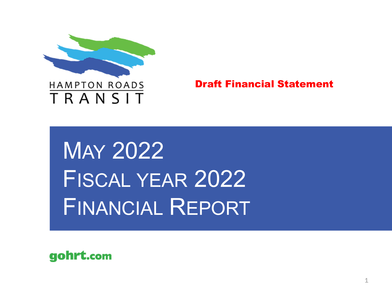

Draft Financial Statement

MAY 2022 FISCAL YEAR 2022 FINANCIAL REPORT

gohrt.com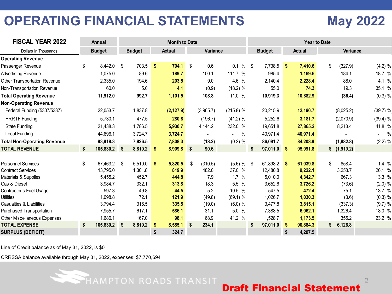# **OPERATING FINANCIAL STATEMENTS May 2022**

| <b>FISCAL YEAR 2022</b>            | Annual          | <b>Month to Date</b><br><b>Year to Date</b> |            |               |    |           |                        |                |    |               |    |             |            |
|------------------------------------|-----------------|---------------------------------------------|------------|---------------|----|-----------|------------------------|----------------|----|---------------|----|-------------|------------|
| Dollars in Thousands               | <b>Budget</b>   | <b>Budget</b>                               |            | <b>Actual</b> |    | Variance  |                        | <b>Budget</b>  |    | <b>Actual</b> |    | Variance    |            |
| <b>Operating Revenue</b>           |                 |                                             |            |               |    |           |                        |                |    |               |    |             |            |
| Passenger Revenue                  | \$<br>8,442.0   | \$<br>703.5                                 | $\sqrt{3}$ | 704.1         | \$ | 0.6       | $0.1 \%$ \$            | $7,738.5$ \$   |    | 7,410.6       | \$ | (327.9)     | $(4.2)$ %  |
| <b>Advertising Revenue</b>         | 1,075.0         | 89.6                                        |            | 189.7         |    | 100.1     | 111.7 %                | 985.4          |    | 1,169.6       |    | 184.1       | 18.7 %     |
| Other Transportation Revenue       | 2,335.0         | 194.6                                       |            | 203.5         |    | 9.0       | 4.6 %                  | 2,140.4        |    | 2,228.4       |    | 88.0        | 4.1 %      |
| Non-Transportation Revenue         | 60.0            | 5.0                                         |            | 4.1           |    | (0.9)     | (18.2) %               | 55.0           |    | 74.3          |    | 19.3        | 35.1 %     |
| <b>Total Operating Revenue</b>     | 11,912.0        | 992.7                                       |            | 1,101.5       |    | 108.8     | 11.0 %                 | 10,919.3       |    | 10,882.9      |    | (36.4)      | (0.3) %    |
| <b>Non-Operating Revenue</b>       |                 |                                             |            |               |    |           |                        |                |    |               |    |             |            |
| Federal Funding (5307/5337)        | 22,053.7        | 1,837.8                                     |            | (2, 127.9)    |    | (3,965.7) | $(215.8)$ %            | 20,215.9       |    | 12,190.7      |    | (8,025.2)   | $(39.7)$ % |
| <b>HRRTF Funding</b>               | 5,730.1         | 477.5                                       |            | 280.8         |    | (196.7)   | (41.2) %               | 5,252.6        |    | 3,181.7       |    | (2,070.9)   | $(39.4)$ % |
| <b>State Funding</b>               | 21,438.3        | 1,786.5                                     |            | 5,930.7       |    | 4,144.2   | 232.0 %                | 19,651.8       |    | 27,865.2      |    | 8,213.4     | 41.8 %     |
| Local Funding                      | 44.696.1        | 3,724.7                                     |            | 3,724.7       |    |           | $\%$<br>$\blacksquare$ | 40,971.4       |    | 40,971.4      |    |             | $-$ %      |
| <b>Total Non-Operating Revenue</b> | 93,918.3        | 7,826.5                                     |            | 7,808.3       |    | (18.2)    | $(0.2)$ %              | 86,091.7       |    | 84,208.9      |    | (1,882.8)   | $(2.2)$ %  |
| <b>TOTAL REVENUE</b>               | \$<br>105,830.2 | \$<br>8,819.2                               | <b>S</b>   | 8,909.8       | \$ | 90.6      |                        | \$<br>97,011.0 | -S | 95,091.8      |    | \$(1,919.2) |            |
|                                    |                 |                                             |            |               |    |           |                        |                |    |               |    |             |            |
| <b>Personnel Services</b>          | \$<br>67,463.2  | \$<br>5,510.0                               | - \$       | 5,820.5       | \$ | (310.5)   | $(5.6) \%$ \$          | 61,898.2 \$    |    | 61,039.8      | \$ | 858.4       | 1.4%       |
| <b>Contract Services</b>           | 13,795.0        | 1,301.8                                     |            | 819.9         |    | 482.0     | 37.0 %                 | 12,480.8       |    | 9,222.1       |    | 3,258.7     | 26.1 %     |
| Materials & Supplies               | 5,455.2         | 452.7                                       |            | 444.8         |    | 7.9       | 1.7%                   | 5.010.0        |    | 4,342.7       |    | 667.3       | 13.3 %     |
| Gas & Diesel                       | 3,984.7         | 332.1                                       |            | 313.8         |    | 18.3      | 5.5 %                  | 3,652.6        |    | 3,726.2       |    | (73.6)      | (2.0) %    |
| Contractor's Fuel Usage            | 597.3           | 49.8                                        |            | 44.5          |    | 5.2       | 10.5 %                 | 547.5          |    | 472.4         |    | 75.1        | 13.7 %     |
| <b>Utilities</b>                   | 1,098.8         | 72.1                                        |            | 121.9         |    | (49.8)    | (69.1) %               | 1,026.7        |    | 1,030.3       |    | (3.6)       | $(0.3)$ %  |
| Casualties & Liabilities           | 3,794.4         | 316.5                                       |            | 335.5         |    | (19.0)    | (6.0) %                | 3,477.8        |    | 3,815.1       |    | (337.3)     | (9.7) %    |
| <b>Purchased Transportation</b>    | 7,955.7         | 617.1                                       |            | 586.1         |    | 31.1      | 5.0 %                  | 7,388.5        |    | 6,062.1       |    | 1,326.4     | 18.0 %     |
| Other Miscellaneous Expenses       | 1,686.1         | 167.0                                       |            | 98.1          |    | 68.9      | 41.2 %                 | 1,528.7        |    | 1,173.5       |    | 355.2       | 23.2 %     |
| <b>TOTAL EXPENSE</b>               | \$<br>105,830.2 | \$<br>8,819.2                               | -\$        | 8,585.1       | \$ | 234.1     |                        | \$<br>97,011.0 | -5 | 90,884.3      | \$ | 6,126.8     |            |
| <b>SURPLUS (DEFICIT)</b>           |                 |                                             | \$         | 324.7         |    |           |                        |                |    | 4,207.5       |    |             |            |

Line of Credit balance as of May 31, 2022, is \$0

CRRSSA balance available through May 31, 2022, expenses: \$7,770,694

HAMPTON ROADS TRANSIT

Draft Financial Statement

 $\mathcal{D}$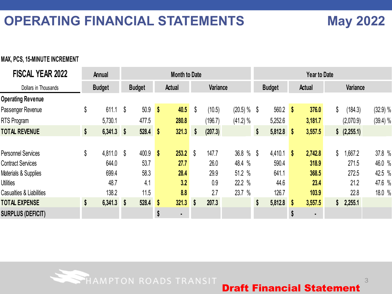# **OPERATING FINANCIAL STATEMENTS May 2022**

3

### **MAX, PCS, 15-MINUTE INCREMENT**

| Variance<br>Variance<br><b>Budget</b><br><b>Budget</b><br><b>Budget</b><br><b>Actual</b><br><b>Actual</b><br>Dollars in Thousands<br>$50.9$ \$<br>\$<br>(20.5) %<br>\$<br>611.1<br>40.5<br>(10.5)<br>$560.2$ \$<br>376.0<br>\$<br>(184.3)<br>S<br>S<br>(41.2) %<br>5,730.1<br>477.5<br>280.8<br>(196.7)<br>3,181.7<br>(2,070.9)<br>5,252.6<br>\$<br>$6,341.3$ \$<br>$528.4$ \$<br>321.3<br>$5,812.8$ \$<br>3,557.5<br>\$ (2,255.1)<br>(207.3)<br>\$<br>\$<br>\$<br>36.8 %<br>\$<br>400.9<br>253.2<br>\$<br>147.7<br>4,410.1<br>2,742.8<br>1,667.2<br>4,811.0<br>-S<br>S<br>$\boldsymbol{\mathsf{s}}$<br>$\mathbf{s}$<br>53.7<br>27.7<br>26.0<br>48.4 %<br>590.4<br>318.9<br>271.5<br>644.0<br>699.4<br>58.3<br>28.4<br>29.9<br>51.2 %<br>368.5<br>272.5<br>641.1<br>22.2 %<br>44.6<br>21.2<br>3.2<br>0.9<br>48.7<br>4.1<br>23.4 | <b>FISCAL YEAR 2022</b>  | Annual |      | <b>Month to Date</b> |     |        |       | <b>Year to Date</b> |      |          |
|---------------------------------------------------------------------------------------------------------------------------------------------------------------------------------------------------------------------------------------------------------------------------------------------------------------------------------------------------------------------------------------------------------------------------------------------------------------------------------------------------------------------------------------------------------------------------------------------------------------------------------------------------------------------------------------------------------------------------------------------------------------------------------------------------------------------------------|--------------------------|--------|------|----------------------|-----|--------|-------|---------------------|------|----------|
| <b>Operating Revenue</b><br>Passenger Revenue<br><b>RTS Program</b><br><b>TOTAL REVENUE</b><br><b>Personnel Services</b><br><b>Contract Services</b><br>Materials & Supplies<br><b>Utilities</b>                                                                                                                                                                                                                                                                                                                                                                                                                                                                                                                                                                                                                                |                          |        |      |                      |     |        |       |                     |      |          |
|                                                                                                                                                                                                                                                                                                                                                                                                                                                                                                                                                                                                                                                                                                                                                                                                                                 |                          |        |      |                      |     |        |       |                     |      |          |
|                                                                                                                                                                                                                                                                                                                                                                                                                                                                                                                                                                                                                                                                                                                                                                                                                                 |                          |        |      |                      |     |        |       |                     |      | (32.9) % |
|                                                                                                                                                                                                                                                                                                                                                                                                                                                                                                                                                                                                                                                                                                                                                                                                                                 |                          |        |      |                      |     |        |       |                     |      | (39.4) % |
|                                                                                                                                                                                                                                                                                                                                                                                                                                                                                                                                                                                                                                                                                                                                                                                                                                 |                          |        |      |                      |     |        |       |                     |      |          |
|                                                                                                                                                                                                                                                                                                                                                                                                                                                                                                                                                                                                                                                                                                                                                                                                                                 |                          |        |      |                      |     |        |       |                     |      |          |
|                                                                                                                                                                                                                                                                                                                                                                                                                                                                                                                                                                                                                                                                                                                                                                                                                                 |                          |        |      |                      |     |        |       |                     |      | 37.8 %   |
|                                                                                                                                                                                                                                                                                                                                                                                                                                                                                                                                                                                                                                                                                                                                                                                                                                 |                          |        |      |                      |     |        |       |                     |      | 46.0 %   |
|                                                                                                                                                                                                                                                                                                                                                                                                                                                                                                                                                                                                                                                                                                                                                                                                                                 |                          |        |      |                      |     |        |       |                     |      | 42.5 %   |
|                                                                                                                                                                                                                                                                                                                                                                                                                                                                                                                                                                                                                                                                                                                                                                                                                                 |                          |        |      |                      |     |        |       |                     |      | 47.6 %   |
|                                                                                                                                                                                                                                                                                                                                                                                                                                                                                                                                                                                                                                                                                                                                                                                                                                 | Casualties & Liabilities | 138.2  | 11.5 | 8.8                  | 2.7 | 23.7 % | 126.7 | 103.9               | 22.8 | 18.0 %   |
| 207.3<br><b>TOTAL EXPENSE</b><br>\$<br>528.4<br>321.3<br>5,812.8<br>3,557.5<br>6,341.3<br>$\boldsymbol{\mathsf{s}}$<br>\$<br>2,255.1<br>-S<br>$\boldsymbol{\mathsf{s}}$<br>\$<br>$\mathbf{s}$                                                                                                                                                                                                                                                                                                                                                                                                                                                                                                                                                                                                                                   |                          |        |      |                      |     |        |       |                     |      |          |
| <b>SURPLUS (DEFICIT)</b><br>S<br>\$<br>$\blacksquare$<br>$\blacksquare$                                                                                                                                                                                                                                                                                                                                                                                                                                                                                                                                                                                                                                                                                                                                                         |                          |        |      |                      |     |        |       |                     |      |          |

HAMPTON ROADS TRANSIT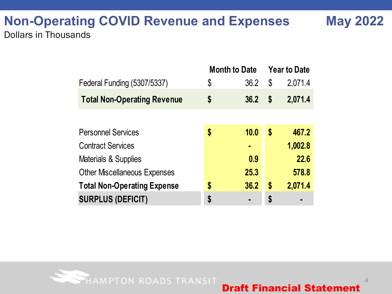## **Non-Operating COVID Revenue and Expenses May 2022** Dollars in Thousands

|                                     | <b>Month to Date</b> |      |    | <b>Year to Date</b> |
|-------------------------------------|----------------------|------|----|---------------------|
| Federal Funding (5307/5337)         | \$                   | 36.2 | \$ | 2,071.4             |
| <b>Total Non-Operating Revenue</b>  | \$                   | 36.2 | S  | 2,071.4             |
|                                     |                      |      |    |                     |
| <b>Personnel Services</b>           | \$                   | 10.0 | \$ | 467.2               |
| <b>Contract Services</b>            |                      | ٠    |    | 1,002.8             |
| Materials & Supplies                |                      | 0.9  |    | 22.6                |
| <b>Other Miscellaneous Expenses</b> |                      | 25.3 |    | 578.8               |
| <b>Total Non-Operating Expense</b>  | \$                   | 36.2 | \$ | 2,071.4             |
| <b>SURPLUS (DEFICIT)</b>            | \$                   |      | \$ | $\blacksquare$      |



4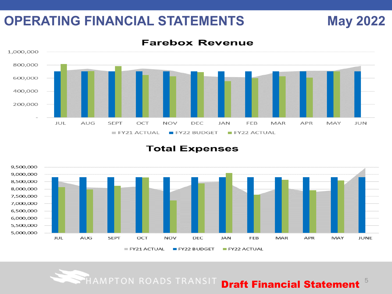## **OPERATING FINANCIAL STATEMENTS May 2022**



### **Total Expenses**



**Farebox Revenue** 

### HAMPTON ROADS TRANSIT **Draft Financial Statement**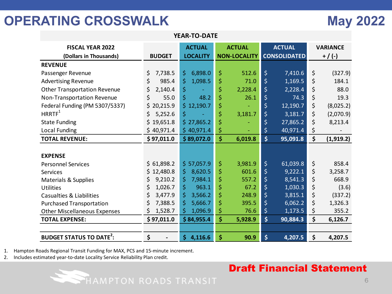# **OPERATING CROSSWALK May 2022**

| <b>FISCAL YEAR 2022</b>                   |                | <b>ACTUAL</b>   |                    | <b>ACTUAL</b>       |                         | <b>ACTUAL</b>       | <b>VARIANCE</b>  |
|-------------------------------------------|----------------|-----------------|--------------------|---------------------|-------------------------|---------------------|------------------|
| (Dollars in Thousands)                    | <b>BUDGET</b>  | <b>LOCALITY</b> |                    | <b>NON-LOCALITY</b> |                         | <b>CONSOLIDATED</b> | $+ / (-)$        |
| <b>REVENUE</b>                            |                |                 |                    |                     |                         |                     |                  |
| Passenger Revenue                         | \$<br>7,738.5  | \$<br>6,898.0   | \$                 | 512.6               | \$                      | 7,410.6             | \$<br>(327.9)    |
| <b>Advertising Revenue</b>                | \$<br>985.4    | \$<br>1,098.5   | \$                 | 71.0                | $\overline{\xi}$        | 1,169.5             | \$<br>184.1      |
| <b>Other Transportation Revenue</b>       | \$<br>2,140.4  | \$              | \$                 | 2,228.4             | \$                      | 2,228.4             | \$<br>88.0       |
| Non-Transportation Revenue                | \$<br>55.0     | \$<br>48.2      | \$                 | 26.1                | \$                      | 74.3                | \$<br>19.3       |
| Federal Funding (PM 5307/5337)            | \$20,215.9     | \$12,190.7      | \$                 |                     | \$                      | 12,190.7            | \$<br>(8,025.2)  |
| HRRTF <sup>1</sup>                        | \$.<br>5,252.6 | \$              | \$                 | 3,181.7             | $\overline{\varsigma}$  | 3,181.7             | \$<br>(2,070.9)  |
| <b>State Funding</b>                      | \$19,651.8     | \$27,865.2      | \$                 |                     | \$                      | 27,865.2            | \$<br>8,213.4    |
| <b>Local Funding</b>                      | \$40,971.4     | \$40,971.4      | \$                 |                     | \$                      | 40,971.4            | \$               |
| <b>TOTAL REVENUE:</b>                     | \$97,011.0     | \$89,072.0      | $\hat{\mathsf{S}}$ | 6,019.8             | \$                      | 95,091.8            | \$<br>(1, 919.2) |
|                                           |                |                 |                    |                     |                         |                     |                  |
| <b>EXPENSE</b>                            |                |                 |                    |                     |                         |                     |                  |
| <b>Personnel Services</b>                 | \$61,898.2     | \$57,057.9      | \$                 | 3,981.9             | $\overline{\mathsf{S}}$ | 61,039.8            | \$<br>858.4      |
| Services                                  | \$12,480.8     | 8,620.5<br>\$   | \$                 | 601.6               | \$                      | 9,222.1             | \$<br>3,258.7    |
| Materials & Supplies                      | \$<br>9,210.2  | \$<br>7,984.1   | \$                 | 557.2               | \$                      | 8,541.3             | \$<br>668.9      |
| <b>Utilities</b>                          | \$<br>1,026.7  | \$<br>963.1     | \$                 | 67.2                | \$                      | 1,030.3             | \$<br>(3.6)      |
| Casualties & Liabilities                  | \$<br>3,477.9  | \$<br>3,566.2   | \$                 | 248.9               | $\overline{\xi}$        | 3,815.1             | \$<br>(337.2)    |
| <b>Purchased Transportation</b>           | \$<br>7,388.5  | \$<br>5,666.7   | \$                 | 395.5               | $\overline{\varsigma}$  | 6,062.2             | \$<br>1,326.3    |
| <b>Other Miscellaneous Expenses</b>       | \$<br>1,528.7  | \$<br>1,096.9   | \$                 | 76.6                | \$                      | 1,173.5             | \$<br>355.2      |
| <b>TOTAL EXPENSE:</b>                     | \$97,011.0     | \$84,955.4      | \$                 | 5,928.9             | \$                      | 90,884.3            | \$<br>6,126.7    |
|                                           |                |                 |                    |                     |                         |                     |                  |
| <b>BUDGET STATUS TO DATE<sup>2</sup>:</b> | \$             | \$4,116.6       | \$                 | 90.9                | \$                      | 4,207.5             | \$<br>4,207.5    |

**YEAR-TO-DATE**

1. Hampton Roads Regional Transit Funding for MAX, PCS and 15-minute increment.

HAMPTON ROADS TRANSIT

2. Includes estimated year-to-date Locality Service Reliability Plan credit.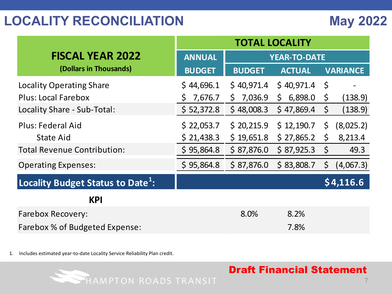|                                               | <b>TOTAL LOCALITY</b> |                         |                         |         |                 |  |  |
|-----------------------------------------------|-----------------------|-------------------------|-------------------------|---------|-----------------|--|--|
| <b>FISCAL YEAR 2022</b>                       | <b>ANNUAL</b>         |                         | <b>YEAR-TO-DATE</b>     |         |                 |  |  |
| (Dollars in Thousands)                        | <b>BUDGET</b>         | <b>BUDGET</b>           | <b>ACTUAL</b>           |         | <b>VARIANCE</b> |  |  |
| <b>Locality Operating Share</b>               | \$44,696.1            | \$40,971.4              | \$40,971.4              | $\zeta$ |                 |  |  |
| <b>Plus: Local Farebox</b>                    | 7,676.7<br>S.         | 7,036.9<br>$\mathsf{S}$ | 6,898.0<br>$\mathsf{S}$ | \$      | (138.9)         |  |  |
| Locality Share - Sub-Total:                   | \$ 52,372.8           | \$48,008.3              | \$47,869.4              | $\zeta$ | (138.9)         |  |  |
| Plus: Federal Aid                             | \$22,053.7            | \$20,215.9              | \$12,190.7              | $\zeta$ | (8,025.2)       |  |  |
| <b>State Aid</b>                              | \$21,438.3            | \$19,651.8              | \$27,865.2              | \$      | 8,213.4         |  |  |
| <b>Total Revenue Contribution:</b>            | \$95,864.8            | \$87,876.0              | \$87,925.3              | $\zeta$ | 49.3            |  |  |
| <b>Operating Expenses:</b>                    | \$95,864.8            | \$87,876.0              | \$83,808.7              | \$      | (4,067.3)       |  |  |
| Locality Budget Status to Date <sup>1</sup> : |                       |                         |                         |         | \$4,116.6       |  |  |
| <b>KPI</b>                                    |                       |                         |                         |         |                 |  |  |
| <b>Farebox Recovery:</b>                      |                       | 8.0%                    | 8.2%                    |         |                 |  |  |
| Farebox % of Budgeted Expense:                |                       |                         | 7.8%                    |         |                 |  |  |

1. Includes estimated year-to-date Locality Service Reliability Plan credit.

HAMPTON ROADS TRANSIT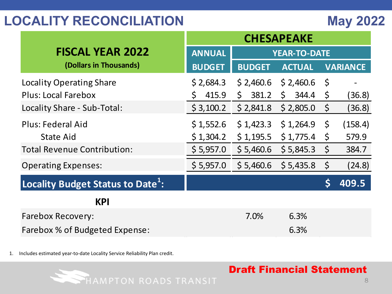| <b>FISCAL YEAR 2022</b>                       | <b>ANNUAL</b> |               | <b>YEAR-TO-DATE</b> |             |                 |
|-----------------------------------------------|---------------|---------------|---------------------|-------------|-----------------|
| (Dollars in Thousands)                        | <b>BUDGET</b> | <b>BUDGET</b> | <b>ACTUAL</b>       |             | <b>VARIANCE</b> |
| <b>Locality Operating Share</b>               | \$2,684.3     | \$2,460.6     | \$2,460.6           | $\varsigma$ |                 |
| <b>Plus: Local Farebox</b>                    | 415.9<br>\$   | \$.<br>381.2  | \$<br>344.4         | $\varsigma$ | (36.8)          |
| Locality Share - Sub-Total:                   | \$3,100.2     | \$2,841.8     | \$2,805.0           | $\varsigma$ | (36.8)          |
| Plus: Federal Aid                             | \$1,552.6     | \$1,423.3     | \$1,264.9           | $\zeta$     | (158.4)         |
| <b>State Aid</b>                              | \$1,304.2     | \$1,195.5     | \$1,775.4           | $\zeta$     | 579.9           |
| <b>Total Revenue Contribution:</b>            | \$5,957.0     | \$5,460.6     | \$5,845.3           | $\zeta$     | 384.7           |
| <b>Operating Expenses:</b>                    | \$5,957.0     | \$5,460.6     | \$5,435.8           | $\zeta$     | (24.8)          |
| Locality Budget Status to Date <sup>1</sup> : |               |               |                     |             | 409.5           |
| <b>KPI</b>                                    |               |               |                     |             |                 |
| <b>Farebox Recovery:</b>                      |               | 7.0%          | 6.3%                |             |                 |
| Farebox % of Budgeted Expense:                |               |               | 6.3%                |             |                 |

1. Includes estimated year-to-date Locality Service Reliability Plan credit.

HAMPTON ROADS TRANSIT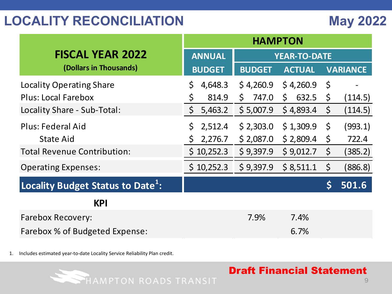|                                               | <b>HAMPTON</b>     |                     |               |             |                 |  |  |
|-----------------------------------------------|--------------------|---------------------|---------------|-------------|-----------------|--|--|
| <b>FISCAL YEAR 2022</b>                       | <b>ANNUAL</b>      | <b>YEAR-TO-DATE</b> |               |             |                 |  |  |
| (Dollars in Thousands)                        | <b>BUDGET</b>      | <b>BUDGET</b>       | <b>ACTUAL</b> |             | <b>VARIANCE</b> |  |  |
| <b>Locality Operating Share</b>               | 4,648.3<br>\$      | \$4,260.9           | \$4,260.9     | $\zeta$     |                 |  |  |
| <b>Plus: Local Farebox</b>                    | \$<br>814.9        | \$<br>747.0         | 632.5<br>\$   | $\varsigma$ | (114.5)         |  |  |
| Locality Share - Sub-Total:                   | $\zeta$<br>5,463.2 | \$5,007.9           | \$4,893.4     | $\zeta$     | (114.5)         |  |  |
| <b>Plus: Federal Aid</b>                      | 2,512.4            | \$2,303.0           | \$1,309.9     | $\zeta$     | (993.1)         |  |  |
| <b>State Aid</b>                              | 2,276.7<br>Ş       | \$2,087.0           | \$2,809.4     | $\zeta$     | 722.4           |  |  |
| <b>Total Revenue Contribution:</b>            | \$10,252.3         | \$9,397.9           | \$9,012.7     | $\zeta$     | (385.2)         |  |  |
| <b>Operating Expenses:</b>                    | \$10,252.3         | \$9,397.9           | \$8,511.1     | $\zeta$     | (886.8)         |  |  |
| Locality Budget Status to Date <sup>1</sup> : |                    |                     |               |             | 501.6           |  |  |
| <b>KPI</b>                                    |                    |                     |               |             |                 |  |  |
| <b>Farebox Recovery:</b>                      |                    | 7.9%                | 7.4%          |             |                 |  |  |
| Farebox % of Budgeted Expense:                |                    |                     | 6.7%          |             |                 |  |  |

1. Includes estimated year-to-date Locality Service Reliability Plan credit.

HAMPTON ROADS TRANSIT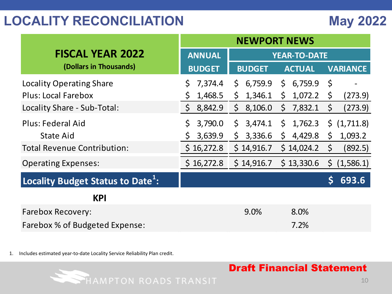|                                               | <b>NEWPORT NEWS</b> |                                                    |                         |  |  |  |  |  |
|-----------------------------------------------|---------------------|----------------------------------------------------|-------------------------|--|--|--|--|--|
| <b>FISCAL YEAR 2022</b>                       | <b>ANNUAL</b>       | <b>YEAR-TO-DATE</b>                                |                         |  |  |  |  |  |
| (Dollars in Thousands)                        | <b>BUDGET</b>       | <b>BUDGET</b><br><b>ACTUAL</b>                     | <b>VARIANCE</b>         |  |  |  |  |  |
| Locality Operating Share                      | 7,374.4<br>\$       | \$<br>6,759.9<br>6,759.9<br>\$                     | \$                      |  |  |  |  |  |
| <b>Plus: Local Farebox</b>                    | \$<br>1,468.5       | \$<br>1,072.2<br>1,346.1<br>\$                     | \$<br>(273.9)           |  |  |  |  |  |
| Locality Share - Sub-Total:                   | $\zeta$<br>8,842.9  | 8,106.0<br>7,832.1<br>$\mathsf{S}$<br>\$           | \$<br>(273.9)           |  |  |  |  |  |
| Plus: Federal Aid                             | \$<br>3,790.0       | 1,762.3<br>$\mathsf{S}$<br>3,474.1<br>$\mathsf{S}$ | $\frac{1}{2}$ (1,711.8) |  |  |  |  |  |
| State Aid                                     | 3,639.9<br>\$       | \$<br>3,336.6<br>4,429.8<br>$\mathsf{S}$           | $\zeta$<br>1,093.2      |  |  |  |  |  |
| <b>Total Revenue Contribution:</b>            | \$16,272.8          | \$14,916.7<br>\$14,024.2                           | $\varsigma$<br>(892.5)  |  |  |  |  |  |
| <b>Operating Expenses:</b>                    | \$16,272.8          | \$14,916.7<br>\$13,330.6                           | \$<br>(1,586.1)         |  |  |  |  |  |
| Locality Budget Status to Date <sup>1</sup> : |                     |                                                    | 693.6                   |  |  |  |  |  |
| <b>KPI</b>                                    |                     |                                                    |                         |  |  |  |  |  |
| <b>Farebox Recovery:</b>                      |                     | 9.0%<br>8.0%                                       |                         |  |  |  |  |  |
| Farebox % of Budgeted Expense:                |                     | 7.2%                                               |                         |  |  |  |  |  |

1. Includes estimated year-to-date Locality Service Reliability Plan credit.

HAMPTON ROADS TRANSIT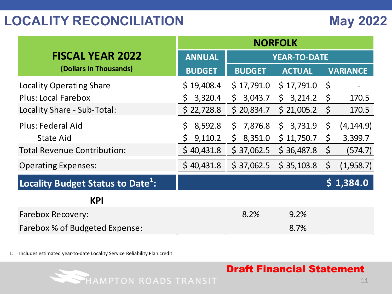|                                               | <b>NORFOLK</b> |                         |               |              |                 |  |  |
|-----------------------------------------------|----------------|-------------------------|---------------|--------------|-----------------|--|--|
| <b>FISCAL YEAR 2022</b>                       | <b>ANNUAL</b>  | <b>YEAR-TO-DATE</b>     |               |              |                 |  |  |
| (Dollars in Thousands)                        | <b>BUDGET</b>  | <b>BUDGET</b>           | <b>ACTUAL</b> |              | <b>VARIANCE</b> |  |  |
| <b>Locality Operating Share</b>               | \$19,408.4     | \$17,791.0              | \$17,791.0    | $\zeta$      |                 |  |  |
| <b>Plus: Local Farebox</b>                    | 3,320.4<br>Ş.  | 3,043.7<br>$\mathsf{S}$ | \$3,214.2     | $\mathsf{S}$ | 170.5           |  |  |
| Locality Share - Sub-Total:                   | \$22,728.8     | \$20,834.7              | \$21,005.2    | $\varsigma$  | 170.5           |  |  |
| <b>Plus: Federal Aid</b>                      | 8,592.8<br>\$. | 7,876.8<br>$\mathsf{S}$ | \$3,731.9     | $\zeta$      | (4, 144.9)      |  |  |
| <b>State Aid</b>                              | 9,110.2<br>\$. | \$8,351.0               | \$11,750.7    | \$           | 3,399.7         |  |  |
| <b>Total Revenue Contribution:</b>            | \$40,431.8     | \$37,062.5              | \$36,487.8    | $\zeta$      | (574.7)         |  |  |
| <b>Operating Expenses:</b>                    | \$40,431.8     | \$37,062.5              | \$35,103.8    | $\zeta$      | (1,958.7)       |  |  |
| Locality Budget Status to Date <sup>1</sup> : |                |                         |               |              | \$1,384.0       |  |  |
| <b>KPI</b>                                    |                |                         |               |              |                 |  |  |
| <b>Farebox Recovery:</b>                      |                | 8.2%                    | 9.2%          |              |                 |  |  |
| Farebox % of Budgeted Expense:                |                |                         | 8.7%          |              |                 |  |  |

1. Includes estimated year-to-date Locality Service Reliability Plan credit.

HAMPTON ROADS TRANSIT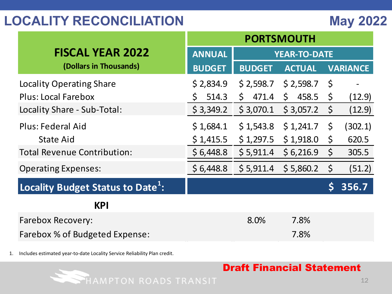|                                               | <b>PORTSMOUTH</b> |               |                     |              |                 |  |  |
|-----------------------------------------------|-------------------|---------------|---------------------|--------------|-----------------|--|--|
| <b>FISCAL YEAR 2022</b>                       | ANNUAL            |               | <b>YEAR-TO-DATE</b> |              |                 |  |  |
| (Dollars in Thousands)                        | <b>BUDGET</b>     | <b>BUDGET</b> | <b>ACTUAL</b>       |              | <b>VARIANCE</b> |  |  |
| <b>Locality Operating Share</b>               | \$2,834.9         | \$2,598.7     | \$2,598.7           | - \$         |                 |  |  |
| <b>Plus: Local Farebox</b>                    | 514.3<br>\$.      | \$471.4       | 458.5<br>\$         | \$           | (12.9)          |  |  |
| Locality Share - Sub-Total:                   | \$3,349.2         | \$3,070.1     | \$3,057.2           | $\zeta$      | (12.9)          |  |  |
| Plus: Federal Aid                             | \$1,684.1         | \$1,543.8     | \$1,241.7           | $\mathsf{S}$ | (302.1)         |  |  |
| State Aid                                     | \$1,415.5         | \$1,297.5     | \$1,918.0           | $\zeta$      | 620.5           |  |  |
| <b>Total Revenue Contribution:</b>            | \$6,448.8         | \$5,911.4     | \$6,216.9           | $\zeta$      | 305.5           |  |  |
| <b>Operating Expenses:</b>                    | \$6,448.8         | \$5,911.4     | \$5,860.2           | $\zeta$      | (51.2)          |  |  |
| Locality Budget Status to Date <sup>1</sup> : |                   |               |                     | \$           | 356.7           |  |  |
| <b>KPI</b>                                    |                   |               |                     |              |                 |  |  |
| <b>Farebox Recovery:</b>                      |                   | 8.0%          | 7.8%                |              |                 |  |  |
| Farebox % of Budgeted Expense:                |                   |               | 7.8%                |              |                 |  |  |

1. Includes estimated year-to-date Locality Service Reliability Plan credit.